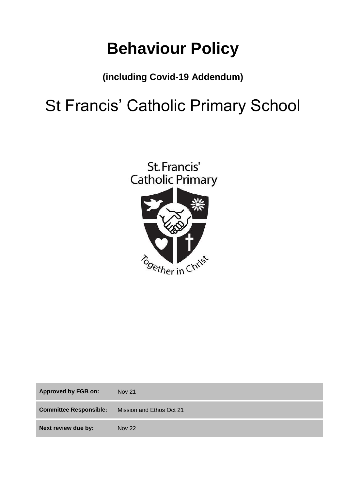# **Behaviour Policy**

# **(including Covid-19 Addendum)**

# St Francis' Catholic Primary School



| <b>Approved by FGB on:</b>    | <b>Nov 21</b>            |
|-------------------------------|--------------------------|
| <b>Committee Responsible:</b> | Mission and Ethos Oct 21 |
| Next review due by:           | <b>Nov 22</b>            |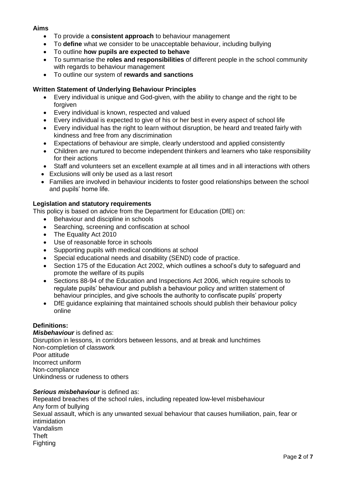## **Aims**

- To provide a **consistent approach** to behaviour management
- To **define** what we consider to be unacceptable behaviour, including bullying
- To outline **how pupils are expected to behave**
- To summarise the **roles and responsibilities** of different people in the school community with regards to behaviour management
- To outline our system of **rewards and sanctions**

# **Written Statement of Underlying Behaviour Principles**

- Every individual is unique and God-given, with the ability to change and the right to be forgiven
- Every individual is known, respected and valued
- Every individual is expected to give of his or her best in every aspect of school life
- Every individual has the right to learn without disruption, be heard and treated fairly with kindness and free from any discrimination
- Expectations of behaviour are simple, clearly understood and applied consistently
- Children are nurtured to become independent thinkers and learners who take responsibility for their actions
- Staff and volunteers set an excellent example at all times and in all interactions with others
- Exclusions will only be used as a last resort
- Families are involved in behaviour incidents to foster good relationships between the school and pupils' home life.

# **Legislation and statutory requirements**

This policy is based on advice from the Department for Education (DfE) on:

- [Behaviour and discipline in schools](https://www.gov.uk/government/publications/behaviour-and-discipline-in-schools)
- [Searching, screening and confiscation at school](https://www.gov.uk/government/publications/searching-screening-and-confiscation)
- [The Equality Act 2010](https://www.gov.uk/government/publications/equality-act-2010-advice-for-schools)
- [Use of reasonable force in schools](https://www.gov.uk/government/publications/use-of-reasonable-force-in-schools)
- [Supporting pupils with medical conditions at school](https://www.gov.uk/government/publications/supporting-pupils-at-school-with-medical-conditions--3)
- [Special educational needs and disability \(SEND\) code of practice.](https://www.gov.uk/government/publications/send-code-of-practice-0-to-25)
- Section 175 of the [Education Act 2002,](http://www.legislation.gov.uk/ukpga/2002/32/section/175) which outlines a school's duty to safeguard and promote the welfare of its pupils
- Sections 88-94 of the [Education and Inspections Act 2006,](http://www.legislation.gov.uk/ukpga/2006/40/section/88) which require schools to regulate pupils' behaviour and publish a behaviour policy and written statement of behaviour principles, and give schools the authority to confiscate pupils' property
- [DfE guidance](https://www.gov.uk/guidance/what-maintained-schools-must-publish-online#behaviour-policy) explaining that maintained schools should publish their behaviour policy online

### **Definitions:**

*Misbehaviour* is defined as: Disruption in lessons, in corridors between lessons, and at break and lunchtimes Non-completion of classwork Poor attitude Incorrect uniform Non-compliance Unkindness or rudeness to others

### *Serious misbehaviour* is defined as:

Repeated breaches of the school rules, including repeated low-level misbehaviour Any form of bullying Sexual assault, which is any unwanted sexual behaviour that causes humiliation, pain, fear or intimidation Vandalism Theft Fighting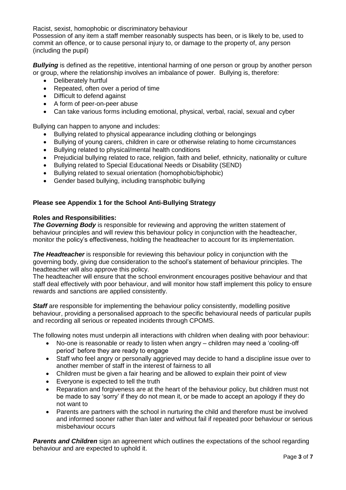Racist, sexist, homophobic or discriminatory behaviour

Possession of any item a staff member reasonably suspects has been, or is likely to be, used to commit an offence, or to cause personal injury to, or damage to the property of, any person (including the pupil)

*Bullying* is defined as the repetitive, intentional harming of one person or group by another person or group, where the relationship involves an imbalance of power. Bullying is, therefore:

- Deliberately hurtful
- Repeated, often over a period of time
- Difficult to defend against
- A form of peer-on-peer abuse
- Can take various forms including emotional, physical, verbal, racial, sexual and cyber

Bullying can happen to anyone and includes:

- Bullying related to physical appearance including clothing or belongings
- Bullying of young carers, children in care or otherwise relating to home circumstances
- Bullying related to physical/mental health conditions
- Prejudicial bullying related to race, religion, faith and belief, ethnicity, nationality or culture
- Bullying related to Special Educational Needs or Disability (SEND)
- Bullying related to sexual orientation (homophobic/biphobic)
- Gender based bullying, including transphobic bullying

### **Please see Appendix 1 for the School Anti-Bullying Strategy**

#### **Roles and Responsibilities:**

**The Governing Body** is responsible for reviewing and approving the written statement of behaviour principles and will review this behaviour policy in conjunction with the headteacher, monitor the policy's effectiveness, holding the headteacher to account for its implementation.

**The Headteacher** is responsible for reviewing this behaviour policy in conjunction with the governing body, giving due consideration to the school's statement of behaviour principles. The headteacher will also approve this policy.

The headteacher will ensure that the school environment encourages positive behaviour and that staff deal effectively with poor behaviour, and will monitor how staff implement this policy to ensure rewards and sanctions are applied consistently.

**Staff** are responsible for implementing the behaviour policy consistently, modelling positive behaviour, providing a personalised approach to the specific behavioural needs of particular pupils and recording all serious or repeated incidents through CPOMS.

The following notes must underpin all interactions with children when dealing with poor behaviour:

- No-one is reasonable or ready to listen when angry children may need a 'cooling-off period' before they are ready to engage
- Staff who feel angry or personally aggrieved may decide to hand a discipline issue over to another member of staff in the interest of fairness to all
- Children must be given a fair hearing and be allowed to explain their point of view
- Everyone is expected to tell the truth
- Reparation and forgiveness are at the heart of the behaviour policy, but children must not be made to say 'sorry' if they do not mean it, or be made to accept an apology if they do not want to
- Parents are partners with the school in nurturing the child and therefore must be involved and informed sooner rather than later and without fail if repeated poor behaviour or serious misbehaviour occurs

*Parents and Children* sign an agreement which outlines the expectations of the school regarding behaviour and are expected to uphold it.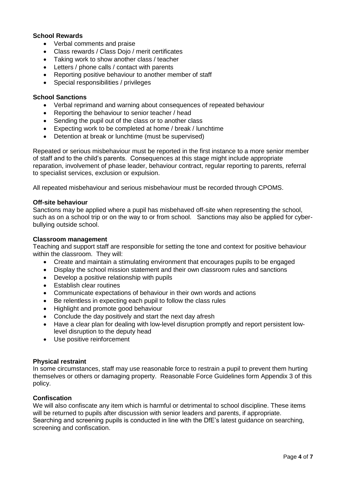## **School Rewards**

- Verbal comments and praise
- Class rewards / Class Dojo / merit certificates
- Taking work to show another class / teacher
- Letters / phone calls / contact with parents
- Reporting positive behaviour to another member of staff
- Special responsibilities / privileges

#### **School Sanctions**

- Verbal reprimand and warning about consequences of repeated behaviour
- Reporting the behaviour to senior teacher / head
- Sending the pupil out of the class or to another class
- Expecting work to be completed at home / break / lunchtime
- Detention at break or lunchtime (must be supervised)

Repeated or serious misbehaviour must be reported in the first instance to a more senior member of staff and to the child's parents. Consequences at this stage might include appropriate reparation, involvement of phase leader, behaviour contract, regular reporting to parents, referral to specialist services, exclusion or expulsion.

All repeated misbehaviour and serious misbehaviour must be recorded through CPOMS.

#### **Off-site behaviour**

Sanctions may be applied where a pupil has misbehaved off-site when representing the school, such as on a school trip or on the way to or from school. Sanctions may also be applied for cyberbullying outside school.

#### **Classroom management**

Teaching and support staff are responsible for setting the tone and context for positive behaviour within the classroom. They will:

- Create and maintain a stimulating environment that encourages pupils to be engaged
- Display the school mission statement and their own classroom rules and sanctions
- Develop a positive relationship with pupils
- Establish clear routines
- Communicate expectations of behaviour in their own words and actions
- Be relentless in expecting each pupil to follow the class rules
- Highlight and promote good behaviour
- Conclude the day positively and start the next day afresh
- Have a clear plan for dealing with low-level disruption promptly and report persistent lowlevel disruption to the deputy head
- Use positive reinforcement

#### **Physical restraint**

In some circumstances, staff may use reasonable force to restrain a pupil to prevent them hurting themselves or others or damaging property. Reasonable Force Guidelines form Appendix 3 of this policy.

#### **Confiscation**

We will also confiscate any item which is harmful or detrimental to school discipline. These items will be returned to pupils after discussion with senior leaders and parents, if appropriate. Searching and screening pupils is conducted in line with the DfE's [latest guidance on searching,](https://www.gov.uk/government/publications/searching-screening-and-confiscation)  [screening and confiscation.](https://www.gov.uk/government/publications/searching-screening-and-confiscation)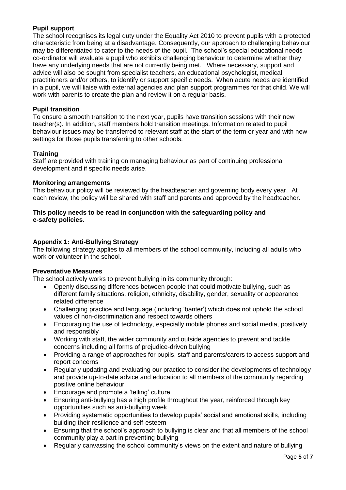# **Pupil support**

The school recognises its legal duty under the Equality Act 2010 to prevent pupils with a protected characteristic from being at a disadvantage. Consequently, our approach to challenging behaviour may be differentiated to cater to the needs of the pupil. The school's special educational needs co-ordinator will evaluate a pupil who exhibits challenging behaviour to determine whether they have any underlying needs that are not currently being met. Where necessary, support and advice will also be sought from specialist teachers, an educational psychologist, medical practitioners and/or others, to identify or support specific needs. When acute needs are identified in a pupil, we will liaise with external agencies and plan support programmes for that child. We will work with parents to create the plan and review it on a regular basis.

### **Pupil transition**

To ensure a smooth transition to the next year, pupils have transition sessions with their new teacher(s). In addition, staff members hold transition meetings. Information related to pupil behaviour issues may be transferred to relevant staff at the start of the term or year and with new settings for those pupils transferring to other schools.

# **Training**

Staff are provided with training on managing behaviour as part of continuing professional development and if specific needs arise.

### **Monitoring arrangements**

This behaviour policy will be reviewed by the headteacher and governing body every year. At each review, the policy will be shared with staff and parents and approved by the headteacher.

### **This policy needs to be read in conjunction with the safeguarding policy and e-safety policies.**

# **Appendix 1: Anti-Bullying Strategy**

The following strategy applies to all members of the school community, including all adults who work or volunteer in the school.

### **Preventative Measures**

The school actively works to prevent bullying in its community through:

- Openly discussing differences between people that could motivate bullying, such as different family situations, religion, ethnicity, disability, gender, sexuality or appearance related difference
- Challenging practice and language (including 'banter') which does not uphold the school values of non-discrimination and respect towards others
- Encouraging the use of technology, especially mobile phones and social media, positively and responsibly
- Working with staff, the wider community and outside agencies to prevent and tackle concerns including all forms of prejudice-driven bullying
- Providing a range of approaches for pupils, staff and parents/carers to access support and report concerns
- Regularly updating and evaluating our practice to consider the developments of technology and provide up-to-date advice and education to all members of the community regarding positive online behaviour
- Encourage and promote a 'telling' culture
- Ensuring anti-bullying has a high profile throughout the year, reinforced through key opportunities such as anti-bullying week
- Providing systematic opportunities to develop pupils' social and emotional skills, including building their resilience and self-esteem
- Ensuring that the school's approach to bullying is clear and that all members of the school community play a part in preventing bullying
- Regularly canvassing the school community's views on the extent and nature of bullying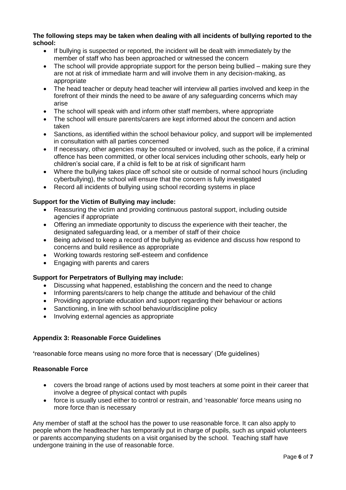#### **The following steps may be taken when dealing with all incidents of bullying reported to the school:**

- If bullying is suspected or reported, the incident will be dealt with immediately by the member of staff who has been approached or witnessed the concern
- The school will provide appropriate support for the person being bullied making sure they are not at risk of immediate harm and will involve them in any decision-making, as appropriate
- The head teacher or deputy head teacher will interview all parties involved and keep in the forefront of their minds the need to be aware of any safeguarding concerns which may arise
- The school will speak with and inform other staff members, where appropriate
- The school will ensure parents/carers are kept informed about the concern and action taken
- Sanctions, as identified within the school behaviour policy, and support will be implemented in consultation with all parties concerned
- If necessary, other agencies may be consulted or involved, such as the police, if a criminal offence has been committed, or other local services including other schools, early help or children's social care, if a child is felt to be at risk of significant harm
- Where the bullying takes place off school site or outside of normal school hours (including cyberbullying), the school will ensure that the concern is fully investigated
- Record all incidents of bullying using school recording systems in place

### **Support for the Victim of Bullying may include:**

- Reassuring the victim and providing continuous pastoral support, including outside agencies if appropriate
- Offering an immediate opportunity to discuss the experience with their teacher, the designated safeguarding lead, or a member of staff of their choice
- Being advised to keep a record of the bullying as evidence and discuss how respond to concerns and build resilience as appropriate
- Working towards restoring self-esteem and confidence
- Engaging with parents and carers

### **Support for Perpetrators of Bullying may include:**

- Discussing what happened, establishing the concern and the need to change
- Informing parents/carers to help change the attitude and behaviour of the child
- Providing appropriate education and support regarding their behaviour or actions
- Sanctioning, in line with school behaviour/discipline policy
- Involving external agencies as appropriate

#### **Appendix 3: Reasonable Force Guidelines**

**'**reasonable force means using no more force that is necessary' (Dfe guidelines)

#### **Reasonable Force**

- covers the broad range of actions used by most teachers at some point in their career that involve a degree of physical contact with pupils
- force is usually used either to control or restrain, and 'reasonable' force means using no more force than is necessary

Any member of staff at the school has the power to use reasonable force. It can also apply to people whom the headteacher has temporarily put in charge of pupils, such as unpaid volunteers or parents accompanying students on a visit organised by the school. Teaching staff have undergone training in the use of reasonable force.